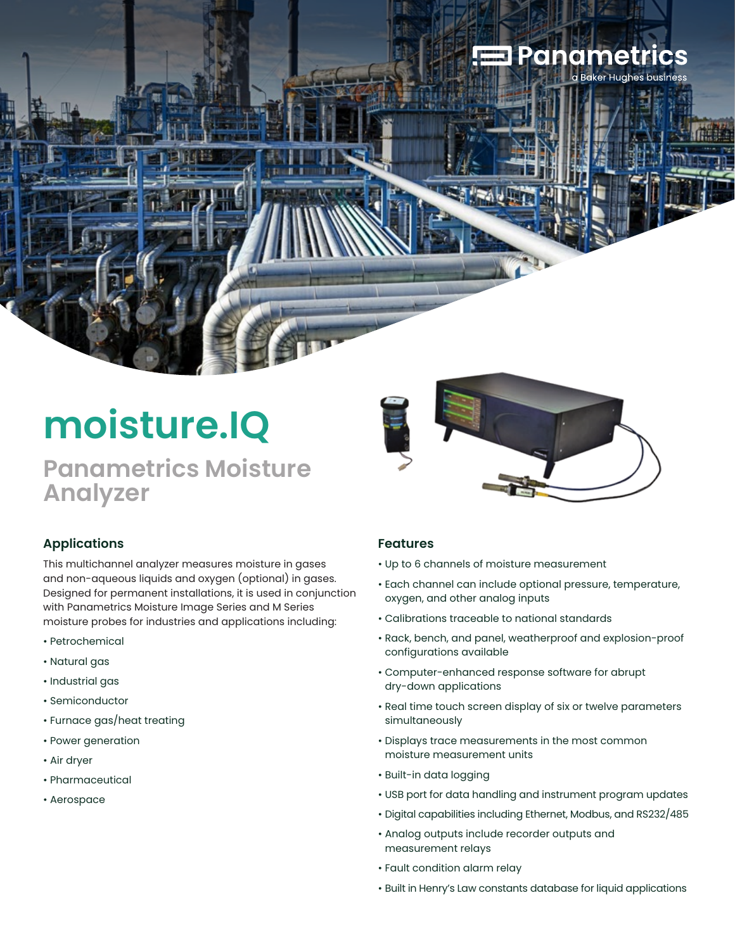## **Panametrics**

# **moisture.IQ**

### **Panametrics Moisture Analyzer**



#### **Applications**

This multichannel analyzer measures moisture in gases and non-aqueous liquids and oxygen (optional) in gases. Designed for permanent installations, it is used in conjunction with Panametrics Moisture Image Series and M Series moisture probes for industries and applications including:

- Petrochemical
- Natural gas
- Industrial gas
- Semiconductor
- Furnace gas/heat treating
- Power generation
- Air dryer
- Pharmaceutical
- Aerospace

#### **Features**

- Up to 6 channels of moisture measurement
- Each channel can include optional pressure, temperature, oxygen, and other analog inputs
- Calibrations traceable to national standards
- Rack, bench, and panel, weatherproof and explosion-proof configurations available
- Computer-enhanced response software for abrupt dry-down applications
- Real time touch screen display of six or twelve parameters simultaneously
- Displays trace measurements in the most common moisture measurement units
- Built-in data logging
- USB port for data handling and instrument program updates
- Digital capabilities including Ethernet, Modbus, and RS232/485
- Analog outputs include recorder outputs and measurement relays
- Fault condition alarm relay
- Built in Henry's Law constants database for liquid applications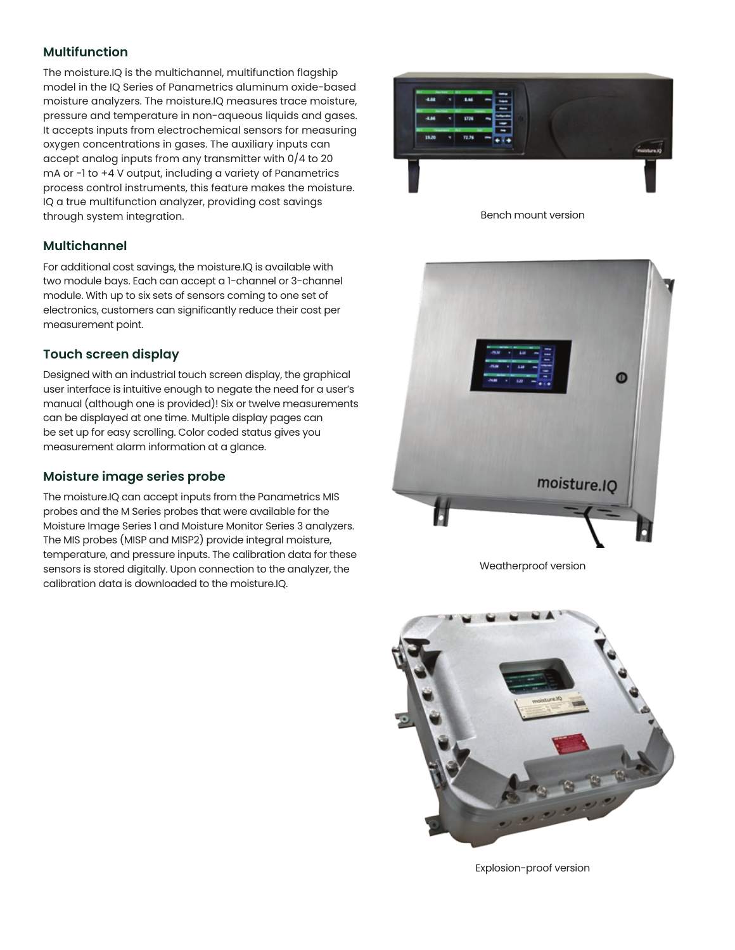#### **Multifunction**

The moisture.IQ is the multichannel, multifunction flagship model in the IQ Series of Panametrics aluminum oxide-based moisture analyzers. The moisture.IQ measures trace moisture, pressure and temperature in non-aqueous liquids and gases. It accepts inputs from electrochemical sensors for measuring oxygen concentrations in gases. The auxiliary inputs can accept analog inputs from any transmitter with 0/4 to 20 mA or -1 to +4 V output, including a variety of Panametrics process control instruments, this feature makes the moisture. IQ a true multifunction analyzer, providing cost savings through system integration.

#### **Multichannel**

For additional cost savings, the moisture.IQ is available with two module bays. Each can accept a 1-channel or 3-channel module. With up to six sets of sensors coming to one set of electronics, customers can significantly reduce their cost per measurement point.

#### **Touch screen display**

Designed with an industrial touch screen display, the graphical user interface is intuitive enough to negate the need for a user's manual (although one is provided)! Six or twelve measurements can be displayed at one time. Multiple display pages can be set up for easy scrolling. Color coded status gives you measurement alarm information at a glance.

#### **Moisture image series probe**

The moisture.IQ can accept inputs from the Panametrics MIS probes and the M Series probes that were available for the Moisture Image Series 1 and Moisture Monitor Series 3 analyzers. The MIS probes (MISP and MISP2) provide integral moisture, temperature, and pressure inputs. The calibration data for these sensors is stored digitally. Upon connection to the analyzer, the calibration data is downloaded to the moisture.IQ.



Bench mount version



Weatherproof version



Explosion-proof version